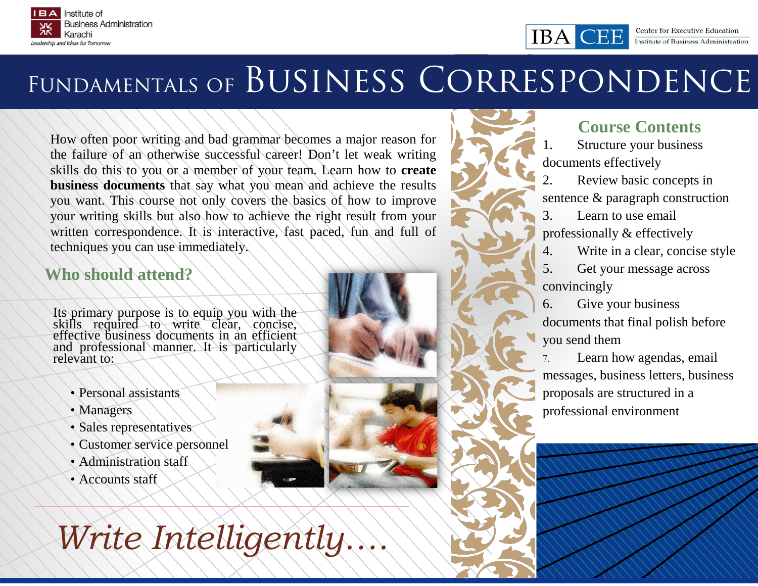



# FUNDAMENTALS OF BUSINESS CORRESPONDENCE

How often poor writing and bad grammar becomes a major reason for the failure of an otherwise successful career! Don't let weak writing skills do this to you or a member of your team. Learn how to **create business documents** that say what you mean and achieve the results you want. This course not only covers the basics of how to improve your writing skills but also how to achieve the right result from your written correspondence. It is interactive, fast paced, fun and full of techniques you can use immediately.

# **Who should attend?**

Its primary purpose is to equip you with the skills required to write clear, concise, effective business documents in an efficient and professional manner. It is particularly relevant to:

- Personal assistants
- Managers
- Sales representatives
- Customer service personnel
- Administration staff
- Accounts staff

*Write Intelligently….*

# **Course Contents**

Structure your business documents effectively

IBA C

2. Review basic concepts in sentence & paragraph construction

3. Learn to use email professionally & effectively

4. Write in a clear, concise style

5. Get your message across convincingly

6. Give your business documents that final polish before you send them

7. Learn how agendas, email messages, business letters, business proposals are structured in a professional environment